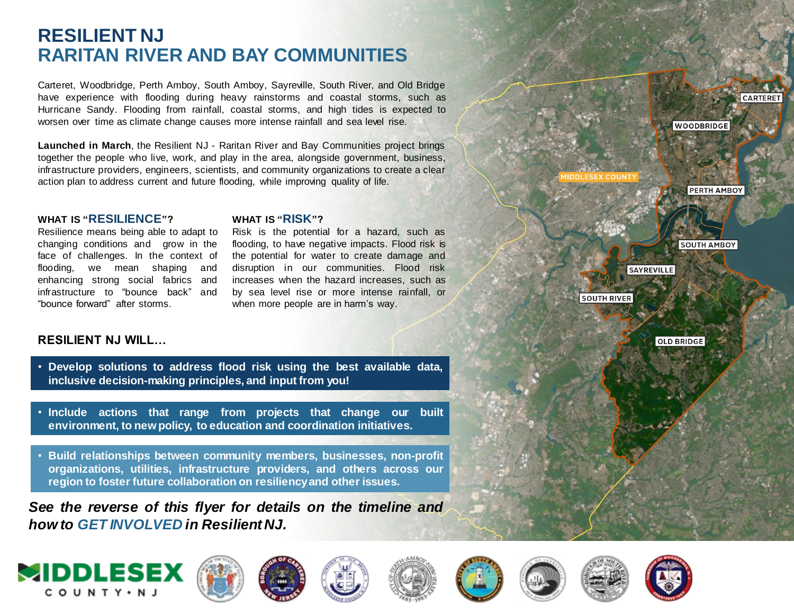## **RESILIENT NJ RARITAN RIVER AND BAY COMMUNITIES**

Carteret, Woodbridge, Perth Amboy, South Amboy, Sayreville, South River, and Old Bridge have experience with flooding during heavy rainstorms and coastal storms, such as Hurricane Sandy. Flooding from rainfall, coastal storms, and high tides is expected to worsen over time as climate change causes more intense rainfall and sea level rise.

**Launched in March**, the Resilient NJ - Raritan River and Bay Communities project brings together the people who live, work, and play in the area, alongside government, business, infrastructure providers, engineers, scientists, and community organizations to create a clear action plan to address current and future flooding, while improving quality of life.

#### **WHAT IS "RESILIENCE"?**

Resilience means being able to adapt to changing conditions and grow in the face of challenges. In the context of flooding, we mean shaping and enhancing strong social fabrics and infrastructure to "bounce back" and "bounce forward" after storms.

#### **WHAT IS "RISK"?**

Risk is the potential for a hazard, such as flooding, to have negative impacts. Flood risk is the potential for water to create damage and disruption in our communities. Flood risk increases when the hazard increases, such as by sea level rise or more intense rainfall, or when more people are in harm's way.

#### **RESILIENT NJ WILL…**

- **Develop solutions to address flood risk using the best available data, inclusive decision-making principles, and input from you!**
- **Include actions that range from projects that change our built environment, to newpolicy, to education and coordination initiatives.**
- **Build relationships between community members, businesses, non-profit organizations, utilities, infrastructure providers, and others across our region to foster future collaboration on resiliencyand other issues.**

*See the reverse of this flyer for details on the timeline and how to GET INVOLVED in Resilient NJ.*

















**CARTERET** 

**WOODBRIDGE** 

**PERTH AMBOY** 

**SOUTH AMBOY** 

**SAYREVILLE** 

**SOUTH RIVER** 

**OLD BRIDGE**